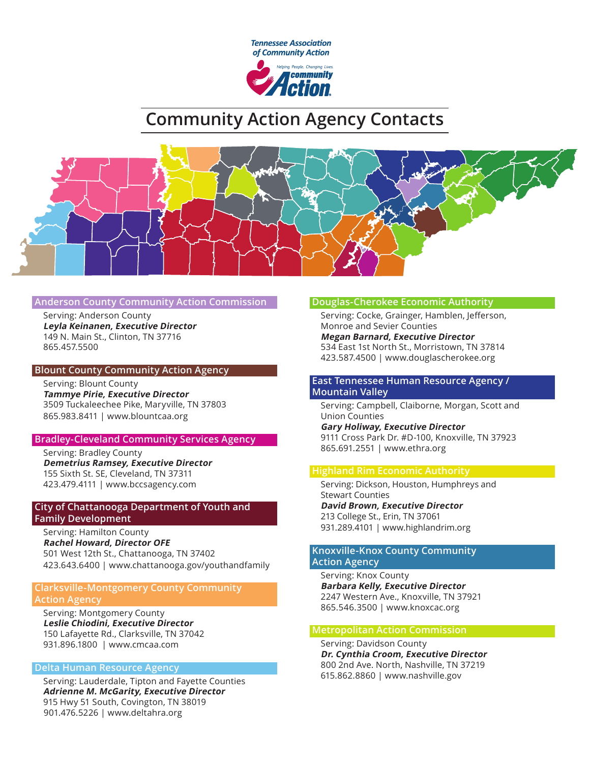

# **Community Action Agency Contacts**



#### **Anderson County Community Action Commission**

Serving: Anderson County **Leyla Keinanen, Executive Director** 149 N. Main St., Clinton, TN 37716 865.457.5500

#### **Blount County Community Action Agency**

Serving: Blount County **Tammye Pirie, Executive Director** 3509 Tuckaleechee Pike, Maryville, TN 37803 865.983.8411 | www.blountcaa.org

#### **Bradley-Cleveland Community Services Agency**

Serving: Bradley County **Demetrius Ramsey, Executive Director** 155 Sixth St. SE, Cleveland, TN 37311 423.479.4111 | www.bccsagency.com

## **City of Chattanooga Department of Youth and Family Development**

Serving: Hamilton County **Rachel Howard, Director OFE**  501 West 12th St., Chattanooga, TN 37402 423.643.6400 | www.chattanooga.gov/youthandfamily

# **Clarksville-Montgomery County Community Action Agency**

Serving: Montgomery County **Leslie Chiodini, Executive Director**  150 Lafayette Rd., Clarksville, TN 37042 931.896.1800 | www.cmcaa.com

## **Delta Human Resource Agency**

Serving: Lauderdale, Tipton and Fayette Counties **Adrienne M. McGarity, Executive Director** 915 Hwy 51 South, Covington, TN 38019 901.476.5226 | www.deltahra.org

## **Douglas-Cherokee Economic Authority**

Serving: Cocke, Grainger, Hamblen, Jefferson, Monroe and Sevier Counties **Megan Barnard, Executive Director** 534 East 1st North St., Morristown, TN 37814 423.587.4500 | www.douglascherokee.org

# **East Tennessee Human Resource Agency / Mountain Valley**

Serving: Campbell, Claiborne, Morgan, Scott and Union Counties **Gary Holiway, Executive Director**  9111 Cross Park Dr. #D-100, Knoxville, TN 37923 865.691.2551 | www.ethra.org

## **Highland Rim Economic Authority**

Serving: Dickson, Houston, Humphreys and Stewart Counties **David Brown, Executive Director** 213 College St., Erin, TN 37061 931.289.4101 | www.highlandrim.org

## **Knoxville-Knox County Community Action Agency**

Serving: Knox County **Barbara Kelly, Executive Director** 2247 Western Ave., Knoxville, TN 37921 865.546.3500 | www.knoxcac.org

#### **Metropolitan Action Commission**

Serving: Davidson County **Dr. Cynthia Croom, Executive Director** 800 2nd Ave. North, Nashville, TN 37219 615.862.8860 | www.nashville.gov